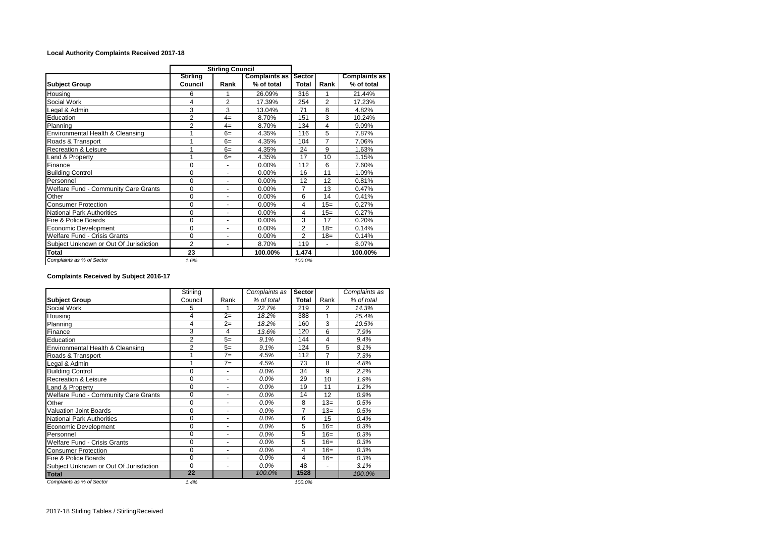## **Local Authority Complaints Received 2017-18**

| <b>Stirling Council</b>                |                            |                |                                    |                 |       |                                    |
|----------------------------------------|----------------------------|----------------|------------------------------------|-----------------|-------|------------------------------------|
| <b>Subject Group</b>                   | <b>Stirling</b><br>Council | Rank           | <b>Complaints as</b><br>% of total | Sector<br>Total | Rank  | <b>Complaints as</b><br>% of total |
| Housing                                | 6                          | 1              | 26.09%                             | 316             |       | 21.44%                             |
| Social Work                            | 4                          | $\overline{2}$ | 17.39%                             | 254             | 2     | 17.23%                             |
| Legal & Admin                          | 3                          | 3              | 13.04%                             | 71              | 8     | 4.82%                              |
| Education                              | $\overline{2}$             | $4=$           | 8.70%                              | 151             | 3     | 10.24%                             |
| Planning                               | $\overline{2}$             | $4=$           | 8.70%                              | 134             | 4     | 9.09%                              |
| Environmental Health & Cleansing       | 1                          | $6=$           | 4.35%                              | 116             | 5     | 7.87%                              |
| Roads & Transport                      | 1                          | $6=$           | 4.35%                              | 104             | 7     | 7.06%                              |
| <b>Recreation &amp; Leisure</b>        |                            | $6=$           | 4.35%                              | 24              | 9     | 1.63%                              |
| Land & Property                        | 1                          | $6=$           | 4.35%                              | 17              | 10    | 1.15%                              |
| Finance                                | $\Omega$                   |                | 0.00%                              | 112             | 6     | 7.60%                              |
| <b>Building Control</b>                | 0                          | ٠              | 0.00%                              | 16              | 11    | 1.09%                              |
| Personnel                              | $\Omega$                   | ÷,             | 0.00%                              | 12              | 12    | 0.81%                              |
| Welfare Fund - Community Care Grants   | $\Omega$                   | ٠              | $0.00\%$                           | 7               | 13    | 0.47%                              |
| Other                                  | $\mathbf 0$                | ÷,             | 0.00%                              | 6               | 14    | 0.41%                              |
| <b>Consumer Protection</b>             | $\Omega$                   | ä,             | 0.00%                              | 4               | $15=$ | 0.27%                              |
| National Park Authorities              | $\Omega$                   | ÷,             | 0.00%                              | 4               | $15=$ | 0.27%                              |
| Fire & Police Boards                   | $\Omega$                   | ÷,             | 0.00%                              | 3               | 17    | 0.20%                              |
| Economic Development                   | $\Omega$                   | ä,             | 0.00%                              | $\overline{2}$  | $18=$ | 0.14%                              |
| Welfare Fund - Crisis Grants           | $\mathbf 0$                | ٠              | 0.00%                              | 2               | $18=$ | 0.14%                              |
| Subject Unknown or Out Of Jurisdiction | $\overline{2}$             | $\blacksquare$ | 8.70%                              | 119             | ٠     | 8.07%                              |
| Total                                  | 23                         |                | 100.00%                            | 1,474           |       | 100.00%                            |
| Complaints as % of Sector              | 1.6%                       |                |                                    | 100.0%          |       |                                    |

## **Complaints Received by Subject 2016-17**

|                                             | Stirling       |                | Complaints as | <b>Sector</b>  |                | Complaints as |  |
|---------------------------------------------|----------------|----------------|---------------|----------------|----------------|---------------|--|
| <b>Subject Group</b>                        | Council        | Rank           | % of total    | Total          | Rank           | % of total    |  |
| Social Work                                 | 5              |                | 22.7%         | 219            | 2              | 14.3%         |  |
| Housing                                     | $\overline{4}$ | $2=$           | 18.2%         | 388            | 1              | 25.4%         |  |
| Planning                                    | $\overline{4}$ | $2=$           | 18.2%         | 160            | 3              | 10.5%         |  |
| Finance                                     | 3              | $\overline{4}$ | 13.6%         | 120            | 6              | 7.9%          |  |
| Education                                   | $\overline{2}$ | $5=$           | 9.1%          | 144            | $\overline{4}$ | 9.4%          |  |
| Environmental Health & Cleansing            | 2              | $5=$           | 9.1%          | 124            | 5              | 8.1%          |  |
| Roads & Transport                           | 1              | $7=$           | 4.5%          | 112            | 7              | 7.3%          |  |
| Legal & Admin                               | 1              | $7 =$          | 4.5%          | 73             | 8              | 4.8%          |  |
| <b>Building Control</b>                     | $\Omega$       |                | 0.0%          | 34             | 9              | 2.2%          |  |
| <b>Recreation &amp; Leisure</b>             | $\Omega$       | ٠              | $0.0\%$       | 29             | 10             | 1.9%          |  |
| Land & Property                             | $\Omega$       | -              | $0.0\%$       | 19             | 11             | 1.2%          |  |
| <b>Welfare Fund - Community Care Grants</b> | $\mathbf 0$    | ٠              | $0.0\%$       | 14             | 12             | 0.9%          |  |
| Other                                       | $\Omega$       | ٠              | $0.0\%$       | 8              | $13=$          | 0.5%          |  |
| Valuation Joint Boards                      | $\mathbf 0$    | ÷,             | 0.0%          | $\overline{7}$ | $13=$          | 0.5%          |  |
| <b>National Park Authorities</b>            | $\mathbf 0$    | ä,             | 0.0%          | 6              | 15             | 0.4%          |  |
| Economic Development                        | $\Omega$       | ٠              | 0.0%          | 5              | $16=$          | 0.3%          |  |
| Personnel                                   | $\mathbf 0$    | ÷,             | 0.0%          | 5              | $16=$          | 0.3%          |  |
| <b>Welfare Fund - Crisis Grants</b>         | $\mathbf 0$    | ä,             | 0.0%          | 5              | $16=$          | 0.3%          |  |
| <b>Consumer Protection</b>                  | $\Omega$       | ٠              | $0.0\%$       | 4              | $16=$          | 0.3%          |  |
| Fire & Police Boards                        | $\Omega$       | ÷,             | 0.0%          | 4              | $16=$          | 0.3%          |  |
| Subject Unknown or Out Of Jurisdiction      | $\Omega$       | ٠              | $0.0\%$       | 48             | ÷,             | 3.1%          |  |
| <b>Total</b>                                | 22             |                | 100.0%        | 1528           |                | 100.0%        |  |
| Complaints as % of Sector                   | 1.4%           |                |               | 100.0%         |                |               |  |